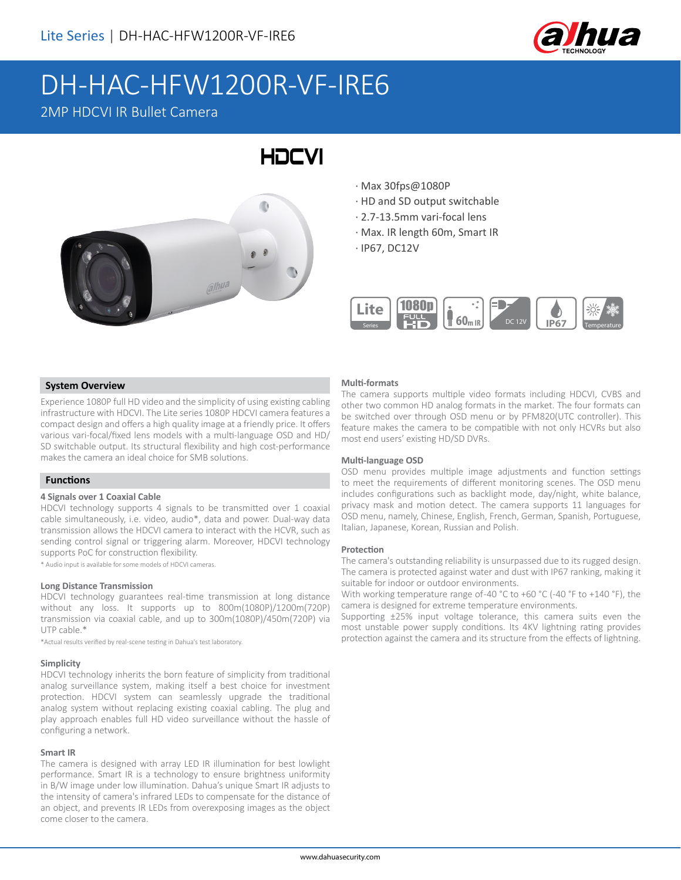

# DH-HAC-HFW1200R-VF-IRE6

# 2MP HDCVI IR Bullet Camera

**HDCVI** 



- · Max 30fps@1080P
- · HD and SD output switchable
- · 2.7-13.5mm vari-focal lens
- · Max. IR length 60m, Smart IR
- · IP67, DC12V



# **System Overview**

Experience 1080P full HD video and the simplicity of using existing cabling infrastructure with HDCVI. The Lite series 1080P HDCVI camera features a compact design and offers a high quality image at a friendly price. It offers various vari-focal/fixed lens models with a multi-language OSD and HD/ SD switchable output. Its structural flexibility and high cost-performance makes the camera an ideal choice for SMB solutions.

# **Functions**

#### **4 Signals over 1 Coaxial Cable**

HDCVI technology supports 4 signals to be transmitted over 1 coaxial cable simultaneously, i.e. video, audio\*, data and power. Dual-way data transmission allows the HDCVI camera to interact with the HCVR, such as sending control signal or triggering alarm. Moreover, HDCVI technology supports PoC for construction flexibility.

\* Audio input is available for some models of HDCVI cameras.

#### **Long Distance Transmission**

HDCVI technology guarantees real-time transmission at long distance without any loss. It supports up to 800m(1080P)/1200m(720P) transmission via coaxial cable, and up to 300m(1080P)/450m(720P) via UTP cable.\*

\*Actual results verified by real-scene testing in Dahua's test laboratory.

#### **Simplicity**

HDCVI technology inherits the born feature of simplicity from traditional analog surveillance system, making itself a best choice for investment protection. HDCVI system can seamlessly upgrade the traditional analog system without replacing existing coaxial cabling. The plug and play approach enables full HD video surveillance without the hassle of configuring a network.

#### **Smart IR**

The camera is designed with array LED IR illumination for best lowlight performance. Smart IR is a technology to ensure brightness uniformity in B/W image under low illumination. Dahua's unique Smart IR adjusts to the intensity of camera's infrared LEDs to compensate for the distance of an object, and prevents IR LEDs from overexposing images as the object come closer to the camera.

#### **Multi-formats**

The camera supports multiple video formats including HDCVI, CVBS and other two common HD analog formats in the market. The four formats can be switched over through OSD menu or by PFM820(UTC controller). This feature makes the camera to be compatible with not only HCVRs but also most end users' existing HD/SD DVRs.

#### **Multi-language OSD**

OSD menu provides multiple image adjustments and function settings to meet the requirements of different monitoring scenes. The OSD menu includes configurations such as backlight mode, day/night, white balance, privacy mask and motion detect. The camera supports 11 languages for OSD menu, namely, Chinese, English, French, German, Spanish, Portuguese, Italian, Japanese, Korean, Russian and Polish.

#### **Protection**

The camera's outstanding reliability is unsurpassed due to its rugged design. The camera is protected against water and dust with IP67 ranking, making it suitable for indoor or outdoor environments.

With working temperature range of-40 °C to +60 °C (-40 °F to +140 °F), the camera is designed for extreme temperature environments.

Supporting ±25% input voltage tolerance, this camera suits even the most unstable power supply conditions. Its 4KV lightning rating provides protection against the camera and its structure from the effects of lightning.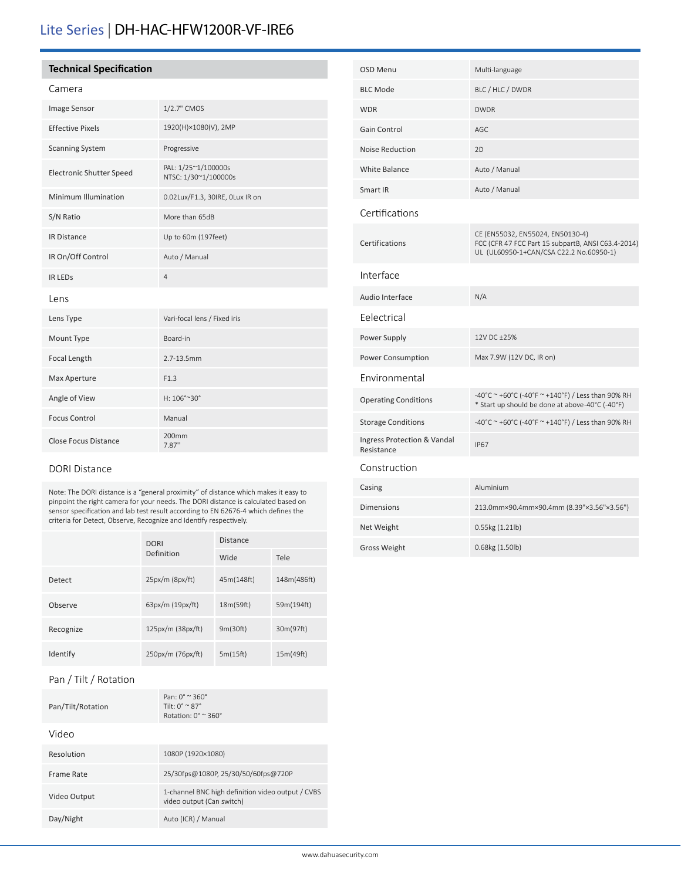# Lite Series | DH-HAC-HFW1200R-VF-IRE6

## **Technical Specification**

## Camera

| Image Sensor                    | 1/2.7" CMOS                                 |
|---------------------------------|---------------------------------------------|
| <b>Effective Pixels</b>         | 1920(H)×1080(V), 2MP                        |
| <b>Scanning System</b>          | Progressive                                 |
| <b>Electronic Shutter Speed</b> | PAL: 1/25~1/100000s<br>NTSC: 1/30~1/100000s |
| Minimum Illumination            | 0.02Lux/F1.3, 30IRE, OLux IR on             |
| S/N Ratio                       | More than 65dB                              |
| <b>IR Distance</b>              | Up to 60m (197feet)                         |
| IR On/Off Control               | Auto / Manual                               |
| <b>IR LEDS</b>                  | $\overline{4}$                              |
| lens                            |                                             |
| Lens Type                       | Vari-focal lens / Fixed iris                |
| Mount Type                      | Board-in                                    |
| Focal Length                    | 2.7-13.5mm                                  |
| Max Aperture                    | F1.3                                        |
| Angle of View                   | H: 106°~30°                                 |
| <b>Focus Control</b>            | Manual                                      |
| <b>Close Focus Distance</b>     | 200 <sub>mm</sub><br>7.87"                  |

#### DORI Distance

Note: The DORI distance is a "general proximity" of distance which makes it easy to pinpoint the right camera for your needs. The DORI distance is calculated based on sensor specification and lab test result according to EN 62676-4 which defines the criteria for Detect, Observe, Recognize and Identify respectively.

|           | <b>DORI</b>           | <b>Distance</b> |             |
|-----------|-----------------------|-----------------|-------------|
|           | Definition            | Wide            | Tele        |
| Detect    | $25px/m$ (8 $px/ft$ ) | 45m(148ft)      | 148m(486ft) |
| Observe   | 63px/m (19px/ft)      | 18m(59ft)       | 59m(194ft)  |
| Recognize | 125px/m (38px/ft)     | 9m(30ft)        | 30m(97ft)   |
| Identify  | 250px/m (76px/ft)     | 5m(15ft)        | 15m(49ft)   |

# Pan / Tilt / Rotation

| Pan/Tilt/Rotation | Pan: $0^{\circ}$ $\sim$ 360 $^{\circ}$<br>Tilt: $0^{\circ}$ $\sim$ 87 $^{\circ}$<br>Rotation: $0^\circ \approx 360^\circ$ |
|-------------------|---------------------------------------------------------------------------------------------------------------------------|
| Video             |                                                                                                                           |
| Resolution        | 1080P (1920×1080)                                                                                                         |
| Frame Rate        | 25/30fps@1080P, 25/30/50/60fps@720P                                                                                       |
| Video Output      | 1-channel BNC high definition video output / CVBS<br>video output (Can switch)                                            |
| Day/Night         | Auto (ICR) / Manual                                                                                                       |

| <b>OSD Menu</b>                           | Multi-language                                                                                                                    |
|-------------------------------------------|-----------------------------------------------------------------------------------------------------------------------------------|
| <b>BLC Mode</b>                           | BLC / HLC / DWDR                                                                                                                  |
| <b>WDR</b>                                | <b>DWDR</b>                                                                                                                       |
| Gain Control                              | AGC                                                                                                                               |
| <b>Noise Reduction</b>                    | 2D                                                                                                                                |
| <b>White Balance</b>                      | Auto / Manual                                                                                                                     |
| Smart IR                                  | Auto / Manual                                                                                                                     |
| Certifications                            |                                                                                                                                   |
| Certifications                            | CE (EN55032, EN55024, EN50130-4)<br>FCC (CFR 47 FCC Part 15 subpartB, ANSI C63.4-2014)<br>UL (UL60950-1+CAN/CSA C22.2 No.60950-1) |
| Interface                                 |                                                                                                                                   |
| Audio Interface                           | N/A                                                                                                                               |
| Eelectrical                               |                                                                                                                                   |
| Power Supply                              | 12V DC +25%                                                                                                                       |
| Power Consumption                         | Max 7.9W (12V DC, IR on)                                                                                                          |
| Environmental                             |                                                                                                                                   |
| <b>Operating Conditions</b>               | -40°C ~ +60°C (-40°F ~ +140°F) / Less than 90% RH<br>* Start up should be done at above-40°C (-40°F)                              |
| <b>Storage Conditions</b>                 | -40°C ~ +60°C (-40°F ~ +140°F) / Less than 90% RH                                                                                 |
| Ingress Protection & Vandal<br>Resistance | <b>IP67</b>                                                                                                                       |
| Construction                              |                                                                                                                                   |
| Casing                                    | Aluminium                                                                                                                         |
| Dimensions                                | 213.0mm×90.4mm×90.4mm (8.39"×3.56"×3.56")                                                                                         |
| Net Weight                                | 0.55kg (1.21lb)                                                                                                                   |
|                                           |                                                                                                                                   |

Gross Weight 0.68kg (1.50lb)